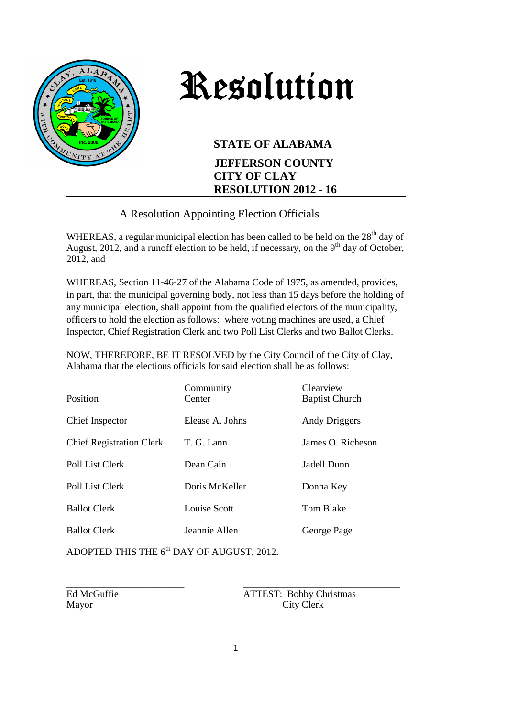

## Resolution

## **STATE OF ALABAMA**

## **JEFFERSON COUNTY CITY OF CLAY RESOLUTION 2012 - 16**

## A Resolution Appointing Election Officials

WHEREAS, a regular municipal election has been called to be held on the  $28<sup>th</sup>$  day of August, 2012, and a runoff election to be held, if necessary, on the  $9<sup>th</sup>$  day of October, 2012, and

WHEREAS, Section 11-46-27 of the Alabama Code of 1975, as amended, provides, in part, that the municipal governing body, not less than 15 days before the holding of any municipal election, shall appoint from the qualified electors of the municipality, officers to hold the election as follows: where voting machines are used, a Chief Inspector, Chief Registration Clerk and two Poll List Clerks and two Ballot Clerks.

NOW, THEREFORE, BE IT RESOLVED by the City Council of the City of Clay, Alabama that the elections officials for said election shall be as follows:

| Community<br>Center | Clearview<br><b>Baptist Church</b> |
|---------------------|------------------------------------|
| Elease A. Johns     | Andy Driggers                      |
| T. G. Lann          | James O. Richeson                  |
| Dean Cain           | Jadell Dunn                        |
| Doris McKeller      | Donna Key                          |
| Louise Scott        | Tom Blake                          |
| Jeannie Allen       | George Page                        |
|                     |                                    |

ADOPTED THIS THE  $6<sup>th</sup>$  DAY OF AUGUST, 2012.

\_\_\_\_\_\_\_\_\_\_\_\_\_\_\_\_\_\_\_\_\_\_\_\_ \_\_\_\_\_\_\_\_\_\_\_\_\_\_\_\_\_\_\_\_\_\_\_\_\_\_\_\_\_\_\_\_ Ed McGuffie ATTEST: Bobby Christmas Mayor City Clerk